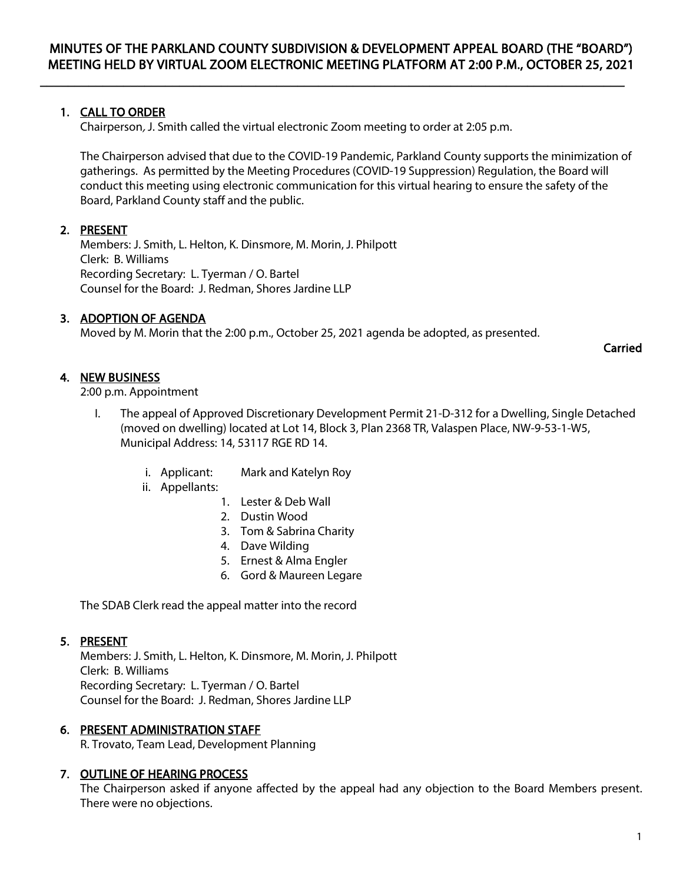$\overline{\phantom{a}}$  , and the contribution of the contribution of the contribution of the contribution of the contribution of the contribution of the contribution of the contribution of the contribution of the contribution of the

# 1. CALL TO ORDER

Chairperson, J. Smith called the virtual electronic Zoom meeting to order at 2:05 p.m.

The Chairperson advised that due to the COVID-19 Pandemic, Parkland County supports the minimization of gatherings. As permitted by the Meeting Procedures (COVID-19 Suppression) Regulation, the Board will conduct this meeting using electronic communication for this virtual hearing to ensure the safety of the Board, Parkland County staff and the public.

# 2. PRESENT

Members: J. Smith, L. Helton, K. Dinsmore, M. Morin, J. Philpott Clerk: B. Williams Recording Secretary: L. Tyerman / O. Bartel Counsel for the Board: J. Redman, Shores Jardine LLP

# 3. ADOPTION OF AGENDA

Moved by M. Morin that the 2:00 p.m., October 25, 2021 agenda be adopted, as presented.

Carried

## 4. NEW BUSINESS

2:00 p.m. Appointment

- I. The appeal of Approved Discretionary Development Permit 21-D-312 for a Dwelling, Single Detached (moved on dwelling) located at Lot 14, Block 3, Plan 2368 TR, Valaspen Place, NW-9-53-1-W5, Municipal Address: 14, 53117 RGE RD 14.
	- i. Applicant: Mark and Katelyn Roy
	- ii. Appellants:
		- 1. Lester & Deb Wall
		- 2. Dustin Wood
		- 3. Tom & Sabrina Charity
		- 4. Dave Wilding
		- 5. Ernest & Alma Engler
		- 6. Gord & Maureen Legare

The SDAB Clerk read the appeal matter into the record

### 5. PRESENT

Members: J. Smith, L. Helton, K. Dinsmore, M. Morin, J. Philpott Clerk: B. Williams Recording Secretary: L. Tyerman / O. Bartel Counsel for the Board: J. Redman, Shores Jardine LLP

### 6. PRESENT ADMINISTRATION STAFF

R. Trovato, Team Lead, Development Planning

### 7. OUTLINE OF HEARING PROCESS

The Chairperson asked if anyone affected by the appeal had any objection to the Board Members present. There were no objections.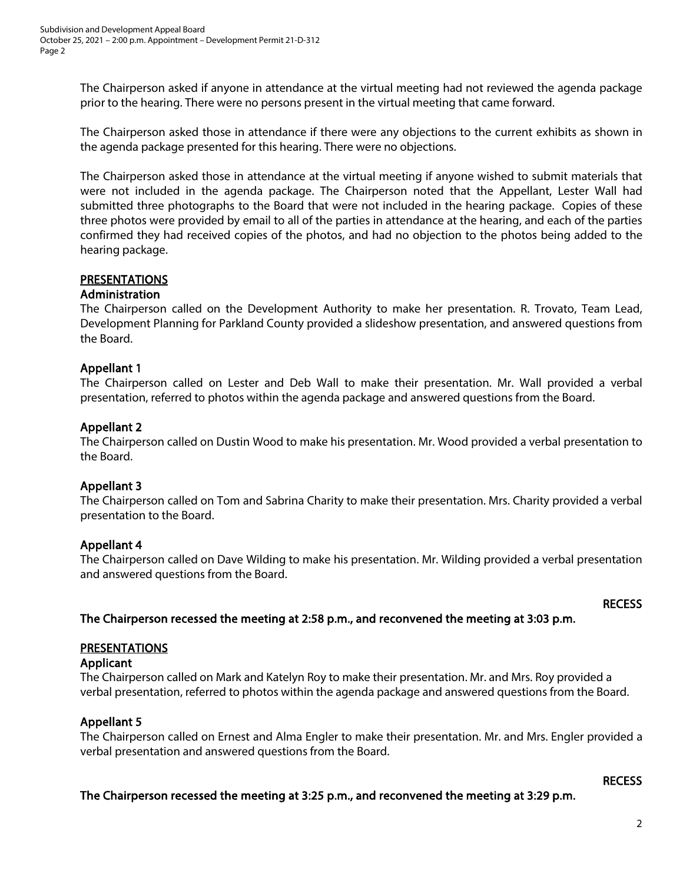The Chairperson asked if anyone in attendance at the virtual meeting had not reviewed the agenda package prior to the hearing. There were no persons present in the virtual meeting that came forward.

The Chairperson asked those in attendance if there were any objections to the current exhibits as shown in the agenda package presented for this hearing. There were no objections.

The Chairperson asked those in attendance at the virtual meeting if anyone wished to submit materials that were not included in the agenda package. The Chairperson noted that the Appellant, Lester Wall had submitted three photographs to the Board that were not included in the hearing package. Copies of these three photos were provided by email to all of the parties in attendance at the hearing, and each of the parties confirmed they had received copies of the photos, and had no objection to the photos being added to the hearing package.

## PRESENTATIONS

### Administration

The Chairperson called on the Development Authority to make her presentation. R. Trovato, Team Lead, Development Planning for Parkland County provided a slideshow presentation, and answered questions from the Board.

### Appellant 1

The Chairperson called on Lester and Deb Wall to make their presentation. Mr. Wall provided a verbal presentation, referred to photos within the agenda package and answered questions from the Board.

### Appellant 2

The Chairperson called on Dustin Wood to make his presentation. Mr. Wood provided a verbal presentation to the Board.

### Appellant 3

The Chairperson called on Tom and Sabrina Charity to make their presentation. Mrs. Charity provided a verbal presentation to the Board.

### Appellant 4

The Chairperson called on Dave Wilding to make his presentation. Mr. Wilding provided a verbal presentation and answered questions from the Board.

#### RECESS

The Chairperson recessed the meeting at 2:58 p.m., and reconvened the meeting at 3:03 p.m.

### PRESENTATIONS

### Applicant

The Chairperson called on Mark and Katelyn Roy to make their presentation. Mr. and Mrs. Roy provided a verbal presentation, referred to photos within the agenda package and answered questions from the Board.

### Appellant 5

The Chairperson called on Ernest and Alma Engler to make their presentation. Mr. and Mrs. Engler provided a verbal presentation and answered questions from the Board.

### **RECESS**

The Chairperson recessed the meeting at 3:25 p.m., and reconvened the meeting at 3:29 p.m.